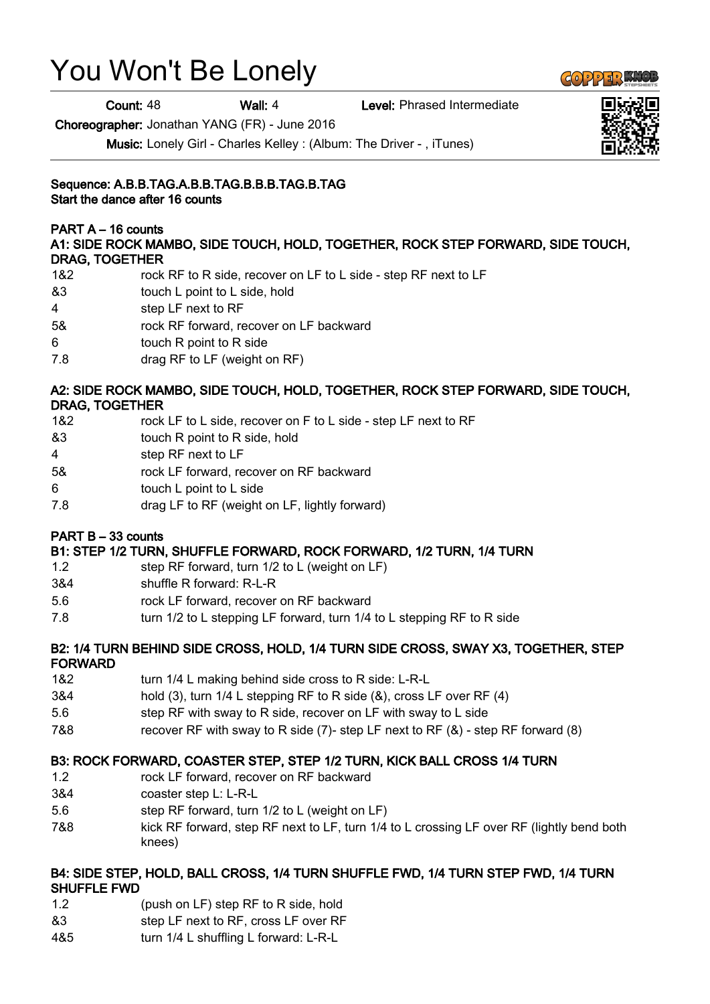# You Won't Be Lonely

Count: 48 Wall: 4 Level: Phrased Intermediate

Choreographer: Jonathan YANG (FR) - June 2016

Music: Lonely Girl - Charles Kelley : (Album: The Driver - , iTunes)

# Sequence: A.B.B.TAG.A.B.B.TAG.B.B.B.TAG.B.TAG

Start the dance after 16 counts

PART A – 16 counts

A1: SIDE ROCK MAMBO, SIDE TOUCH, HOLD, TOGETHER, ROCK STEP FORWARD, SIDE TOUCH, DRAG, TOGETHER

- 1&2 rock RF to R side, recover on LF to L side step RF next to LF
- &3 touch L point to L side, hold
- 4 step LF next to RF
- 5& rock RF forward, recover on LF backward
- 6 touch R point to R side
- 7.8 drag RF to LF (weight on RF)

#### A2: SIDE ROCK MAMBO, SIDE TOUCH, HOLD, TOGETHER, ROCK STEP FORWARD, SIDE TOUCH, DRAG, TOGETHER

- 1&2 rock LF to L side, recover on F to L side step LF next to RF
- &3 touch R point to R side, hold
- 4 step RF next to LF
- 5& rock LF forward, recover on RF backward
- 6 touch L point to L side
- 7.8 drag LF to RF (weight on LF, lightly forward)

# PART B – 33 counts

# B1: STEP 1/2 TURN, SHUFFLE FORWARD, ROCK FORWARD, 1/2 TURN, 1/4 TURN

- 1.2 step RF forward, turn 1/2 to L (weight on LF)
- 3&4 shuffle R forward: R-L-R
- 5.6 rock LF forward, recover on RF backward
- 7.8 turn 1/2 to L stepping LF forward, turn 1/4 to L stepping RF to R side

#### B2: 1/4 TURN BEHIND SIDE CROSS, HOLD, 1/4 TURN SIDE CROSS, SWAY X3, TOGETHER, STEP FORWARD

- 1&2 turn 1/4 L making behind side cross to R side: L-R-L
- 3&4 hold (3), turn 1/4 L stepping RF to R side (&), cross LF over RF (4)
- 5.6 step RF with sway to R side, recover on LF with sway to L side
- 7&8 recover RF with sway to R side (7)- step LF next to RF (&) step RF forward (8)

# B3: ROCK FORWARD, COASTER STEP, STEP 1/2 TURN, KICK BALL CROSS 1/4 TURN

- 1.2 rock LF forward, recover on RF backward
- 3&4 coaster step L: L-R-L
- 5.6 step RF forward, turn 1/2 to L (weight on LF)
- 7&8 kick RF forward, step RF next to LF, turn 1/4 to L crossing LF over RF (lightly bend both knees)

#### B4: SIDE STEP, HOLD, BALL CROSS, 1/4 TURN SHUFFLE FWD, 1/4 TURN STEP FWD, 1/4 TURN SHUFFLE FWD

- 1.2 (push on LF) step RF to R side, hold
- &3 step LF next to RF, cross LF over RF
- 4&5 turn 1/4 L shuffling L forward: L-R-L